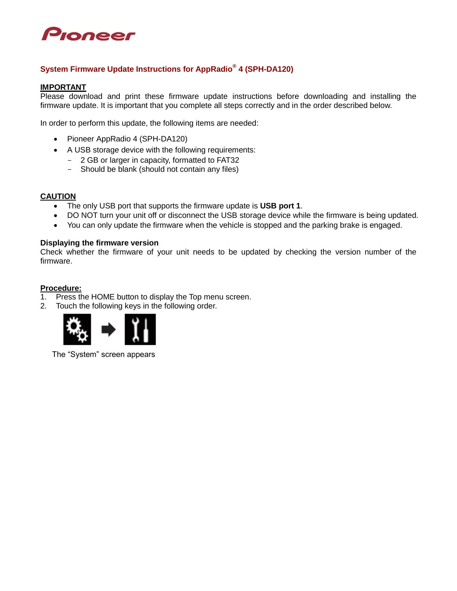

# **System Firmware Update Instructions for AppRadio® 4 (SPH-DA120)**

#### **IMPORTANT**

Please download and print these firmware update instructions before downloading and installing the firmware update. It is important that you complete all steps correctly and in the order described below.

In order to perform this update, the following items are needed:

- Pioneer AppRadio 4 (SPH-DA120)
- A USB storage device with the following requirements:
	- 2 GB or larger in capacity, formatted to FAT32
	- Should be blank (should not contain any files)

#### **CAUTION**

- The only USB port that supports the firmware update is **USB port 1**.
- DO NOT turn your unit off or disconnect the USB storage device while the firmware is being updated.
- You can only update the firmware when the vehicle is stopped and the parking brake is engaged.

#### **Displaying the firmware version**

Check whether the firmware of your unit needs to be updated by checking the version number of the firmware.

#### **Procedure:**

- 1. Press the HOME button to display the Top menu screen.
- 2. Touch the following keys in the following order.



The "System" screen appears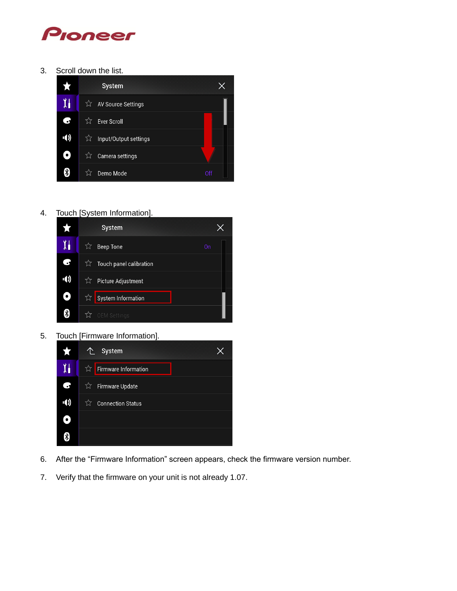

3. Scroll down the list.



4. Touch [System Information].



5. Touch [Firmware Information].



- 6. After the "Firmware Information" screen appears, check the firmware version number.
- 7. Verify that the firmware on your unit is not already 1.07.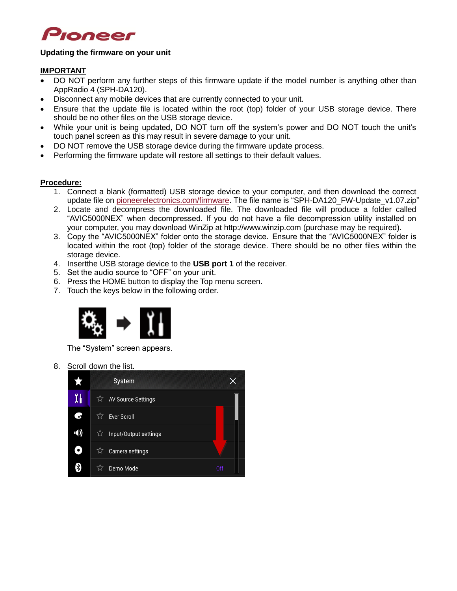

### **Updating the firmware on your unit**

# **IMPORTANT**

- DO NOT perform any further steps of this firmware update if the model number is anything other than AppRadio 4 (SPH-DA120).
- Disconnect any mobile devices that are currently connected to your unit.
- Ensure that the update file is located within the root (top) folder of your USB storage device. There should be no other files on the USB storage device.
- While your unit is being updated, DO NOT turn off the system's power and DO NOT touch the unit's touch panel screen as this may result in severe damage to your unit.
- DO NOT remove the USB storage device during the firmware update process.
- Performing the firmware update will restore all settings to their default values.

### **Procedure:**

- 1. Connect a blank (formatted) USB storage device to your computer, and then download the correct update file on [pioneerelectronics.com/firmware.](http://www.pioneerelectronics.com/firmware) The file name is "SPH-DA120 FW-Update v1.07.zip"
- 2. Locate and decompress the downloaded file. The downloaded file will produce a folder called "AVIC5000NEX" when decompressed. If you do not have a file decompression utility installed on your computer, you may download WinZip at http://www.winzip.com (purchase may be required).
- 3. Copy the "AVIC5000NEX" folder onto the storage device. Ensure that the "AVIC5000NEX" folder is located within the root (top) folder of the storage device. There should be no other files within the storage device.
- 4. Insertthe USB storage device to the **USB port 1** of the receiver.
- 5. Set the audio source to "OFF" on your unit.
- 6. Press the HOME button to display the Top menu screen.
- 7. Touch the keys below in the following order.



The "System" screen appears.

8. Scroll down the list.

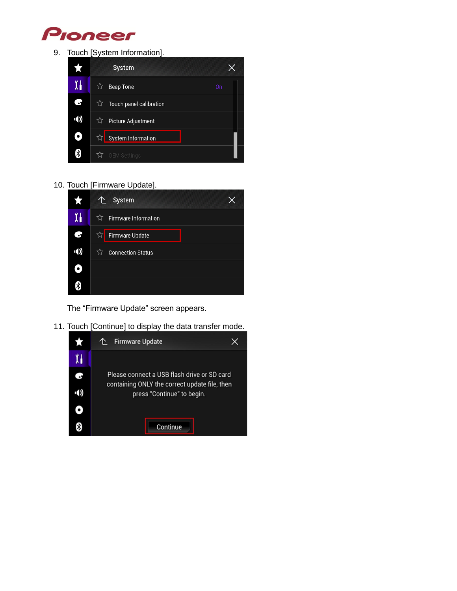

9. Touch [System Information].



# 10. Touch [Firmware Update].



The "Firmware Update" screen appears.

11. Touch [Continue] to display the data transfer mode.

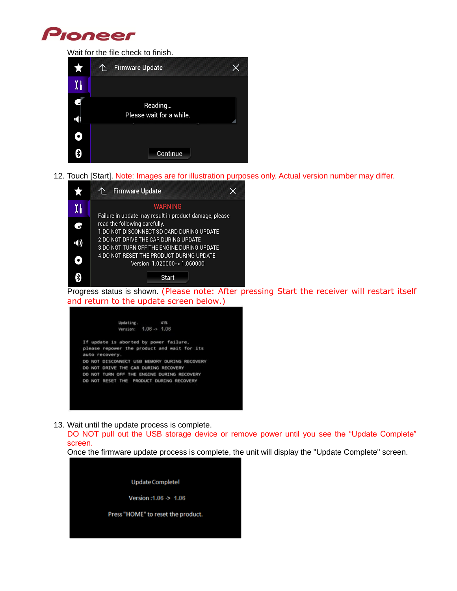

Wait for the file check to finish.



12. Touch [Start]. Note: Images are for illustration purposes only. Actual version number may differ.



Progress status is shown. (Please note: After pressing Start the receiver will restart itself and return to the update screen below.)

|                | Updating.                                   | 4.1% |                                              |
|----------------|---------------------------------------------|------|----------------------------------------------|
|                | Version: 1.06 -> 1.06                       |      |                                              |
|                | If update is aborted by power failure,      |      |                                              |
|                | please repower the product and wait for its |      |                                              |
| auto recovery. |                                             |      |                                              |
|                |                                             |      | DO NOT DISCONNECT USB MEMORY DURING RECOVERY |
|                | DO NOT DRIVE THE CAR DURING RECOVERY        |      |                                              |
|                | DO NOT TURN OFF THE ENGINE DURING RECOVERY  |      |                                              |
|                | DO NOT RESET THE PRODUCT DURING RECOVERY    |      |                                              |

13. Wait until the update process is complete.

DO NOT pull out the USB storage device or remove power until you see the "Update Complete" screen.

Once the firmware update process is complete, the unit will display the "Update Complete" screen.

**Update Complete!** Version: 1.06 > 1.06 Press "HOME" to reset the product.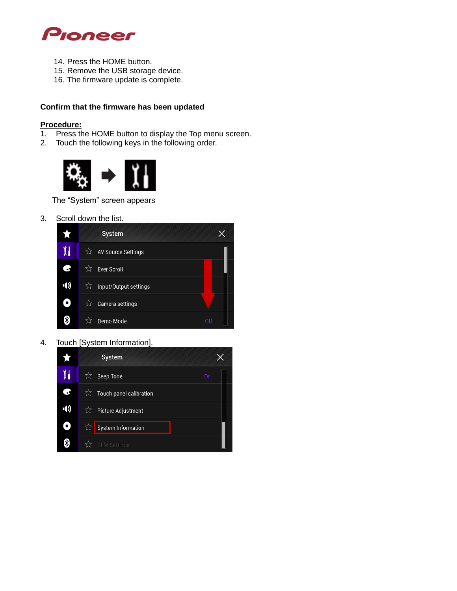

- 14. Press the HOME button.
- 15. Remove the USB storage device.
- 16. The firmware update is complete.

# **Confirm that the firmware has been updated**

# **Procedure:**

- 1. Press the HOME button to display the Top menu screen.
- 2. Touch the following keys in the following order.



The "System" screen appears

3. Scroll down the list.



4. Touch [System Information].